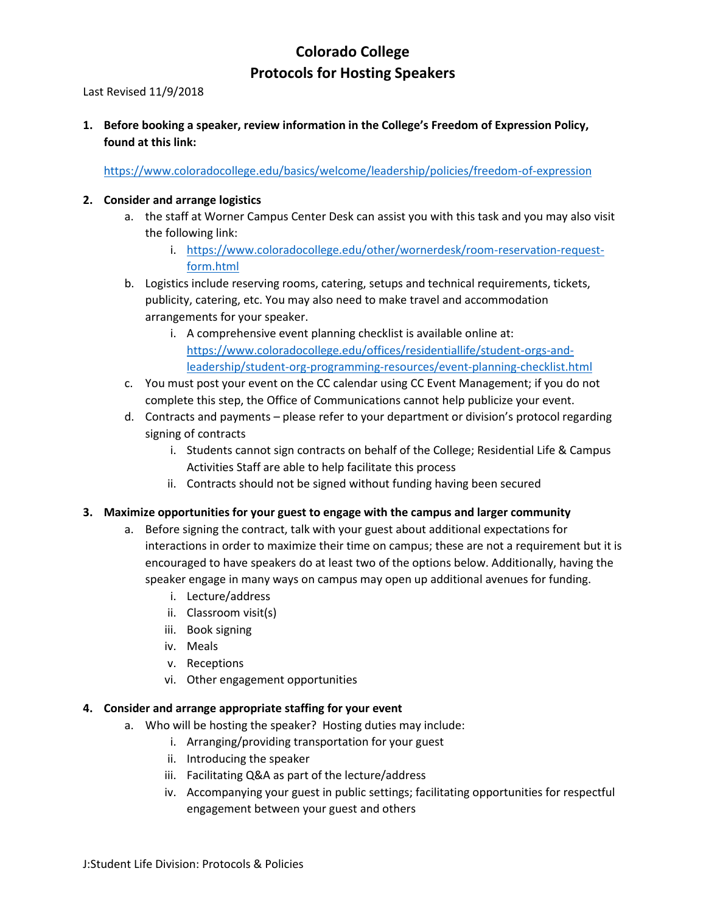## **Colorado College Protocols for Hosting Speakers**

Last Revised 11/9/2018

**1. Before booking a speaker, review information in the College's Freedom of Expression Policy, found at this link:**

<https://www.coloradocollege.edu/basics/welcome/leadership/policies/freedom-of-expression>

## **2. Consider and arrange logistics**

- a. the staff at Worner Campus Center Desk can assist you with this task and you may also visit the following link:
	- i. [https://www.coloradocollege.edu/other/wornerdesk/room-reservation-request](https://www.coloradocollege.edu/other/wornerdesk/room-reservation-request-form.html)[form.html](https://www.coloradocollege.edu/other/wornerdesk/room-reservation-request-form.html)
- b. Logistics include reserving rooms, catering, setups and technical requirements, tickets, publicity, catering, etc. You may also need to make travel and accommodation arrangements for your speaker.
	- i. A comprehensive event planning checklist is available online at: [https://www.coloradocollege.edu/offices/residentiallife/student-orgs-and](https://www.coloradocollege.edu/offices/residentiallife/student-orgs-and-leadership/student-org-programming-resources/event-planning-checklist.html)[leadership/student-org-programming-resources/event-planning-checklist.html](https://www.coloradocollege.edu/offices/residentiallife/student-orgs-and-leadership/student-org-programming-resources/event-planning-checklist.html)
- c. You must post your event on the CC calendar using CC Event Management; if you do not complete this step, the Office of Communications cannot help publicize your event.
- d. Contracts and payments please refer to your department or division's protocol regarding signing of contracts
	- i. Students cannot sign contracts on behalf of the College; Residential Life & Campus Activities Staff are able to help facilitate this process
	- ii. Contracts should not be signed without funding having been secured
- **3. Maximize opportunities for your guest to engage with the campus and larger community**
	- a. Before signing the contract, talk with your guest about additional expectations for interactions in order to maximize their time on campus; these are not a requirement but it is encouraged to have speakers do at least two of the options below. Additionally, having the speaker engage in many ways on campus may open up additional avenues for funding.
		- i. Lecture/address
		- ii. Classroom visit(s)
		- iii. Book signing
		- iv. Meals
		- v. Receptions
		- vi. Other engagement opportunities

## **4. Consider and arrange appropriate staffing for your event**

- a. Who will be hosting the speaker? Hosting duties may include:
	- i. Arranging/providing transportation for your guest
	- ii. Introducing the speaker
	- iii. Facilitating Q&A as part of the lecture/address
	- iv. Accompanying your guest in public settings; facilitating opportunities for respectful engagement between your guest and others